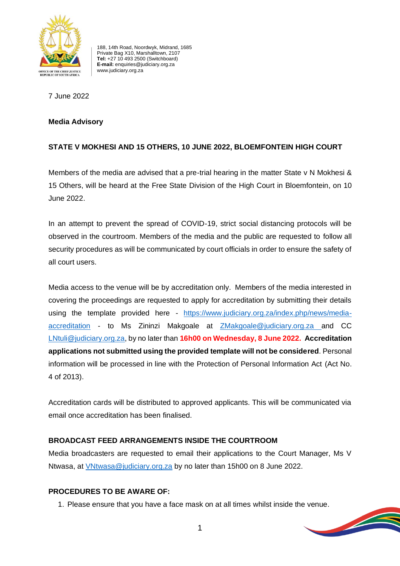

188, 14th Road, Noordwyk, Midrand, 1685 Private Bag X10, Marshalltown, 2107 **Tel:** +27 10 493 2500 (Switchboard) **E-mail:** enquiries@judiciary.org.za www.judiciary.org.za

7 June 2022

#### **Media Advisory**

# **STATE V MOKHESI AND 15 OTHERS, 10 JUNE 2022, BLOEMFONTEIN HIGH COURT**

Members of the media are advised that a pre-trial hearing in the matter State v N Mokhesi & 15 Others, will be heard at the Free State Division of the High Court in Bloemfontein, on 10 June 2022.

In an attempt to prevent the spread of COVID-19, strict social distancing protocols will be observed in the courtroom. Members of the media and the public are requested to follow all security procedures as will be communicated by court officials in order to ensure the safety of all court users.

Media access to the venue will be by accreditation only. Members of the media interested in covering the proceedings are requested to apply for accreditation by submitting their details using the template provided here - [https://www.judiciary.org.za/index.php/news/media](https://www.judiciary.org.za/index.php/news/media-accreditation)[accreditation](https://www.judiciary.org.za/index.php/news/media-accreditation) - to Ms Zininzi Makgoale at [ZMakgoale@judiciary.org.za](mailto:ZMakgoale@judiciary.org.za) and CC [LNtuli@judiciary.org.za,](mailto:LNtuli@judiciary.org.za) by no later than **16h00 on Wednesday, 8 June 2022. Accreditation applications not submitted using the provided template will not be considered**. Personal information will be processed in line with the Protection of Personal Information Act (Act No. 4 of 2013).

Accreditation cards will be distributed to approved applicants. This will be communicated via email once accreditation has been finalised.

## **BROADCAST FEED ARRANGEMENTS INSIDE THE COURTROOM**

Media broadcasters are requested to email their applications to the Court Manager, Ms V Ntwasa, at [VNtwasa@judiciary.org.za](mailto:VNtwasa@judiciary.org.za) by no later than 15h00 on 8 June 2022.

## **PROCEDURES TO BE AWARE OF:**

1. Please ensure that you have a face mask on at all times whilst inside the venue.